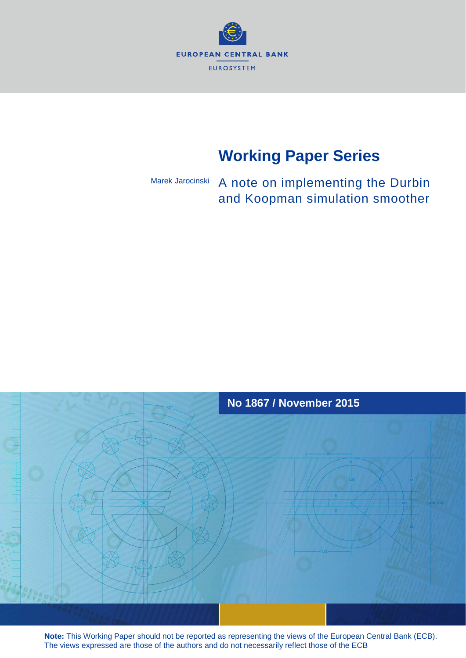

# **Working Paper Series**

#### A note on implementing the Durbin and Koopman simulation smoother Marek Jarocinski



**Note:** This Working Paper should not be reported as representing the views of the European Central Bank (ECB). The views expressed are those of the authors and do not necessarily reflect those of the ECB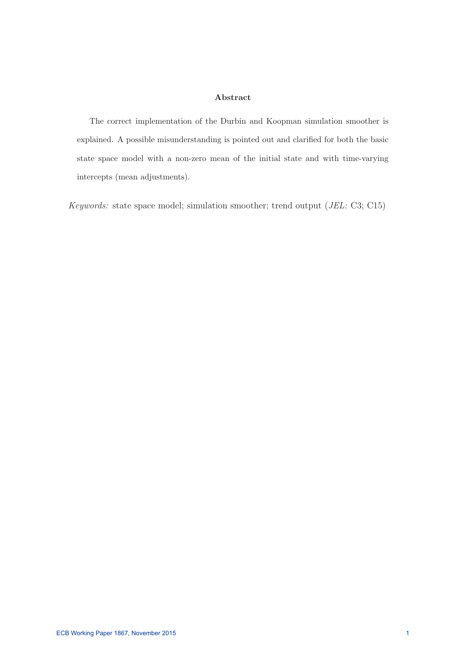#### **Abstract**

The correct implementation of the Durbin and Koopman simulation smoother is explained. A possible misunderstanding is pointed out and clarified for both the basic state space model with a non-zero mean of the initial state and with time-varying intercepts (mean adjustments).

Keywords: state space model; simulation smoother; trend output (JEL: C3; C15)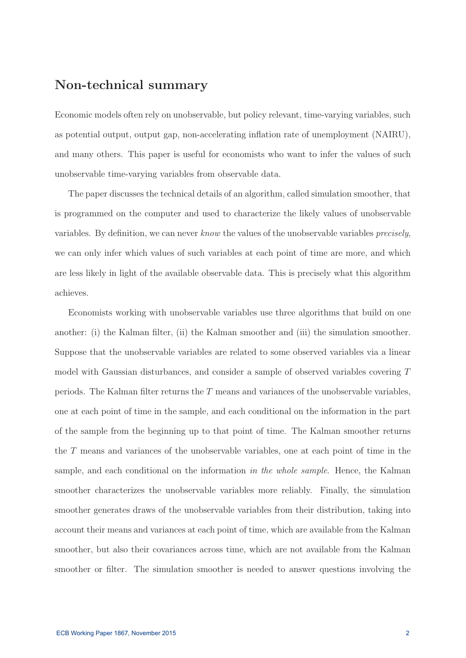### **Non-technical summary**

Economic models often rely on unobservable, but policy relevant, time-varying variables, such as potential output, output gap, non-accelerating inflation rate of unemployment (NAIRU), and many others. This paper is useful for economists who want to infer the values of such unobservable time-varying variables from observable data.

The paper discusses the technical details of an algorithm, called simulation smoother, that is programmed on the computer and used to characterize the likely values of unobservable variables. By definition, we can never know the values of the unobservable variables precisely, we can only infer which values of such variables at each point of time are more, and which are less likely in light of the available observable data. This is precisely what this algorithm achieves.

Economists working with unobservable variables use three algorithms that build on one another: (i) the Kalman filter, (ii) the Kalman smoother and (iii) the simulation smoother. Suppose that the unobservable variables are related to some observed variables via a linear model with Gaussian disturbances, and consider a sample of observed variables covering T periods. The Kalman filter returns the T means and variances of the unobservable variables, one at each point of time in the sample, and each conditional on the information in the part of the sample from the beginning up to that point of time. The Kalman smoother returns the T means and variances of the unobservable variables, one at each point of time in the sample, and each conditional on the information in the whole sample. Hence, the Kalman smoother characterizes the unobservable variables more reliably. Finally, the simulation smoother generates draws of the unobservable variables from their distribution, taking into account their means and variances at each point of time, which are available from the Kalman smoother, but also their covariances across time, which are not available from the Kalman smoother or filter. The simulation smoother is needed to answer questions involving the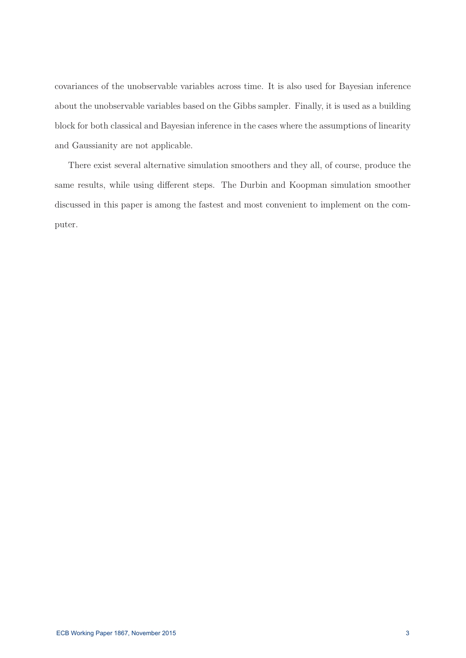covariances of the unobservable variables across time. It is also used for Bayesian inference about the unobservable variables based on the Gibbs sampler. Finally, it is used as a building block for both classical and Bayesian inference in the cases where the assumptions of linearity and Gaussianity are not applicable.

There exist several alternative simulation smoothers and they all, of course, produce the same results, while using different steps. The Durbin and Koopman simulation smoother discussed in this paper is among the fastest and most convenient to implement on the computer.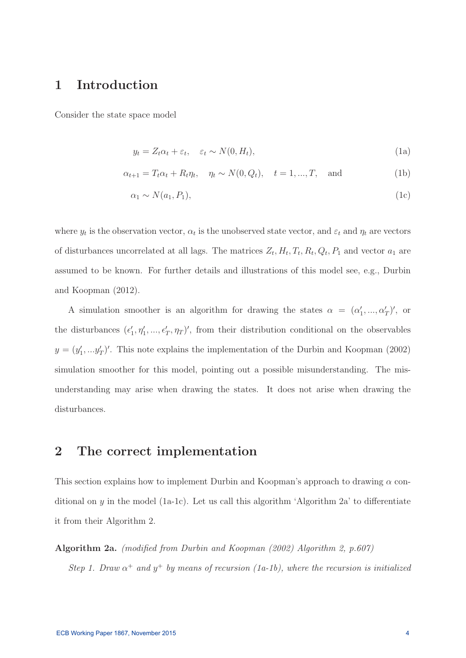### **1 Introduction**

Consider the state space model

$$
y_t = Z_t \alpha_t + \varepsilon_t, \quad \varepsilon_t \sim N(0, H_t), \tag{1a}
$$

$$
\alpha_{t+1} = T_t \alpha_t + R_t \eta_t, \quad \eta_t \sim N(0, Q_t), \quad t = 1, ..., T, \text{ and}
$$
\n(1b)

$$
\alpha_1 \sim N(a_1, P_1),\tag{1c}
$$

where  $y_t$  is the observation vector,  $\alpha_t$  is the unobserved state vector, and  $\varepsilon_t$  and  $\eta_t$  are vectors of disturbances uncorrelated at all lags. The matrices  $Z_t$ ,  $H_t$ ,  $T_t$ ,  $R_t$ ,  $Q_t$ ,  $P_1$  and vector  $a_1$  are assumed to be known. For further details and illustrations of this model see, e.g., Durbin and Koopman (2012).

A simulation smoother is an algorithm for drawing the states  $\alpha = (\alpha'_1, ..., \alpha'_T)'$ , or the disturbances  $(\epsilon'_1, \eta'_1, ..., \epsilon'_T, \eta_T)'$ , from their distribution conditional on the observables  $y = (y'_1, \ldots, y'_T)'$ . This note explains the implementation of the Durbin and Koopman (2002) simulation smoother for this model, pointing out a possible misunderstanding. The misunderstanding may arise when drawing the states. It does not arise when drawing the disturbances.

#### **2 The correct implementation**

This section explains how to implement Durbin and Koopman's approach to drawing  $\alpha$  conditional on  $\psi$  in the model (1a-1c). Let us call this algorithm 'Algorithm 2a' to differentiate it from their Algorithm 2.

**Algorithm 2a.** (modified from Durbin and Koopman (2002) Algorithm 2, p.607) Step 1. Draw  $\alpha^+$  and  $y^+$  by means of recursion (1a-1b), where the recursion is initialized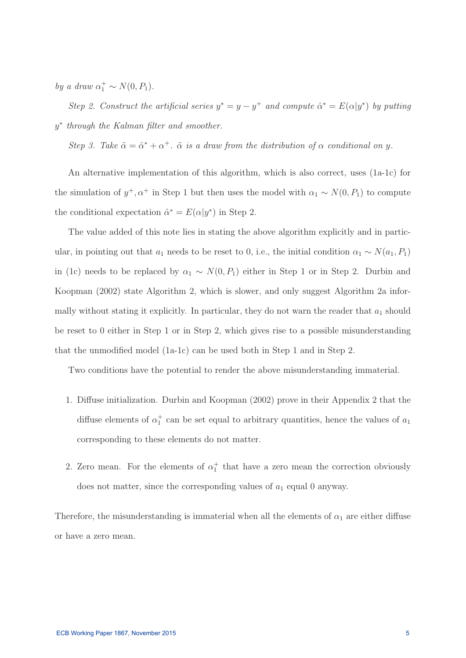by a draw  $\alpha_1^+ \sim N(0, P_1)$ .

Step 2. Construct the artificial series  $y^* = y - y^+$  and compute  $\hat{\alpha}^* = E(\alpha|y^*)$  by putting y<sup>∗</sup> through the Kalman filter and smoother.

Step 3. Take  $\tilde{\alpha} = \hat{\alpha}^* + \alpha^+$ .  $\tilde{\alpha}$  is a draw from the distribution of  $\alpha$  conditional on y.

An alternative implementation of this algorithm, which is also correct, uses (1a-1c) for the simulation of  $y^+, \alpha^+$  in Step 1 but then uses the model with  $\alpha_1 \sim N(0, P_1)$  to compute the conditional expectation  $\hat{\alpha}^* = E(\alpha|y^*)$  in Step 2.

The value added of this note lies in stating the above algorithm explicitly and in particular, in pointing out that  $a_1$  needs to be reset to 0, i.e., the initial condition  $\alpha_1 \sim N(a_1, P_1)$ in (1c) needs to be replaced by  $\alpha_1 \sim N(0, P_1)$  either in Step 1 or in Step 2. Durbin and Koopman (2002) state Algorithm 2, which is slower, and only suggest Algorithm 2a informally without stating it explicitly. In particular, they do not warn the reader that  $a_1$  should be reset to 0 either in Step 1 or in Step 2, which gives rise to a possible misunderstanding that the unmodified model (1a-1c) can be used both in Step 1 and in Step 2.

Two conditions have the potential to render the above misunderstanding immaterial.

- 1. Diffuse initialization. Durbin and Koopman (2002) prove in their Appendix 2 that the diffuse elements of  $\alpha_1^+$  can be set equal to arbitrary quantities, hence the values of  $a_1$ corresponding to these elements do not matter.
- 2. Zero mean. For the elements of  $\alpha_1^+$  that have a zero mean the correction obviously does not matter, since the corresponding values of  $a_1$  equal 0 anyway.

Therefore, the misunderstanding is immaterial when all the elements of  $\alpha_1$  are either diffuse or have a zero mean.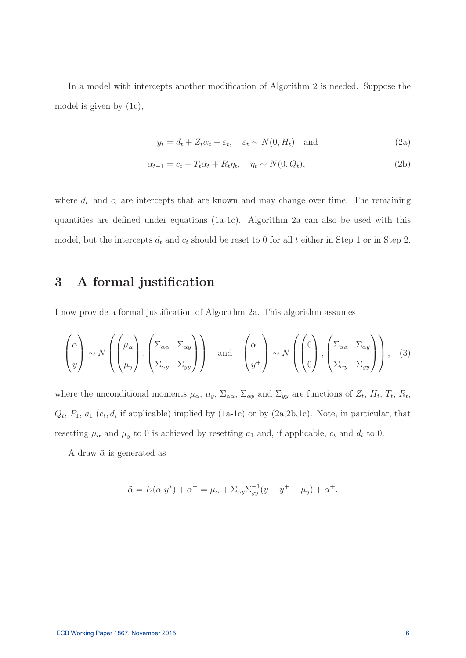In a model with intercepts another modification of Algorithm 2 is needed. Suppose the model is given by (1c),

$$
y_t = d_t + Z_t \alpha_t + \varepsilon_t, \quad \varepsilon_t \sim N(0, H_t) \quad \text{and} \tag{2a}
$$

$$
\alpha_{t+1} = c_t + T_t \alpha_t + R_t \eta_t, \quad \eta_t \sim N(0, Q_t), \tag{2b}
$$

where  $d_t$  and  $c_t$  are intercepts that are known and may change over time. The remaining quantities are defined under equations (1a-1c). Algorithm 2a can also be used with this model, but the intercepts  $d_t$  and  $c_t$  should be reset to 0 for all t either in Step 1 or in Step 2.

### **3 A formal justification**

I now provide a formal justification of Algorithm 2a. This algorithm assumes

$$
\begin{pmatrix} \alpha \\ y \end{pmatrix} \sim N \left( \begin{pmatrix} \mu_{\alpha} \\ \mu_{y} \end{pmatrix}, \begin{pmatrix} \Sigma_{\alpha\alpha} & \Sigma_{\alpha y} \\ \Sigma_{\alpha y} & \Sigma_{yy} \end{pmatrix} \right) \text{ and } \begin{pmatrix} \alpha^{+} \\ y^{+} \end{pmatrix} \sim N \left( \begin{pmatrix} 0 \\ 0 \end{pmatrix}, \begin{pmatrix} \Sigma_{\alpha\alpha} & \Sigma_{\alpha y} \\ \Sigma_{\alpha y} & \Sigma_{yy} \end{pmatrix} \right), \quad (3)
$$

where the unconditional moments  $\mu_{\alpha}$ ,  $\mu_{y}$ ,  $\Sigma_{\alpha\alpha}$ ,  $\Sigma_{\alpha y}$  and  $\Sigma_{yy}$  are functions of  $Z_{t}$ ,  $H_{t}$ ,  $T_{t}$ ,  $R_{t}$ ,  $Q_t$ ,  $P_1$ ,  $a_1$  ( $c_t$ ,  $d_t$  if applicable) implied by (1a-1c) or by (2a, 2b, 1c). Note, in particular, that resetting  $\mu_{\alpha}$  and  $\mu_{y}$  to 0 is achieved by resetting  $a_1$  and, if applicable,  $c_t$  and  $d_t$  to 0.

A draw  $\tilde{\alpha}$  is generated as

$$
\tilde{\alpha} = E(\alpha|y^*) + \alpha^+ = \mu_\alpha + \Sigma_{\alpha y} \Sigma_{yy}^{-1} (y - y^+ - \mu_y) + \alpha^+.
$$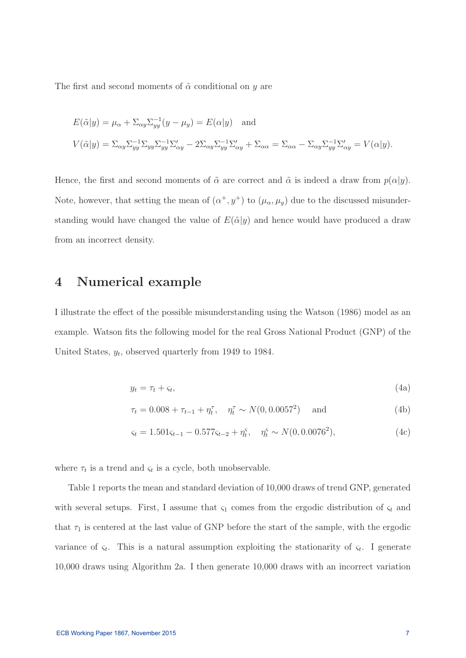The first and second moments of  $\tilde{\alpha}$  conditional on y are

$$
E(\tilde{\alpha}|y) = \mu_{\alpha} + \Sigma_{\alpha y} \Sigma_{yy}^{-1} (y - \mu_y) = E(\alpha|y) \text{ and}
$$
  

$$
V(\tilde{\alpha}|y) = \Sigma_{\alpha y} \Sigma_{yy}^{-1} \Sigma_{yy} \Sigma_{yy}^{-1} \Sigma_{\alpha y}^{\prime} - 2\Sigma_{\alpha y} \Sigma_{yy}^{-1} \Sigma_{\alpha y}^{\prime} + \Sigma_{\alpha \alpha} = \Sigma_{\alpha \alpha} - \Sigma_{\alpha y} \Sigma_{yy}^{-1} \Sigma_{\alpha y}^{\prime} = V(\alpha|y).
$$

Hence, the first and second moments of  $\tilde{\alpha}$  are correct and  $\tilde{\alpha}$  is indeed a draw from  $p(\alpha|y)$ . Note, however, that setting the mean of  $(\alpha^+, y^+)$  to  $(\mu_\alpha, \mu_y)$  due to the discussed misunderstanding would have changed the value of  $E(\tilde{\alpha}|y)$  and hence would have produced a draw from an incorrect density.

### **4 Numerical example**

I illustrate the effect of the possible misunderstanding using the Watson (1986) model as an example. Watson fits the following model for the real Gross National Product (GNP) of the United States,  $y_t$ , observed quarterly from 1949 to 1984.

$$
y_t = \tau_t + \varsigma_t,\tag{4a}
$$

$$
\tau_t = 0.008 + \tau_{t-1} + \eta_t^{\tau}, \quad \eta_t^{\tau} \sim N(0, 0.0057^2) \quad \text{and} \tag{4b}
$$

$$
\varsigma_t = 1.501 \varsigma_{t-1} - 0.577 \varsigma_{t-2} + \eta_t^{\varsigma}, \quad \eta_t^{\varsigma} \sim N(0, 0.0076^2), \tag{4c}
$$

where  $\tau_t$  is a trend and  $\varsigma_t$  is a cycle, both unobservable.

Table 1 reports the mean and standard deviation of 10,000 draws of trend GNP, generated with several setups. First, I assume that  $\varsigma_1$  comes from the ergodic distribution of  $\varsigma_t$  and that  $\tau_1$  is centered at the last value of GNP before the start of the sample, with the ergodic variance of  $\varsigma_t$ . This is a natural assumption exploiting the stationarity of  $\varsigma_t$ . I generate 10,000 draws using Algorithm 2a. I then generate 10,000 draws with an incorrect variation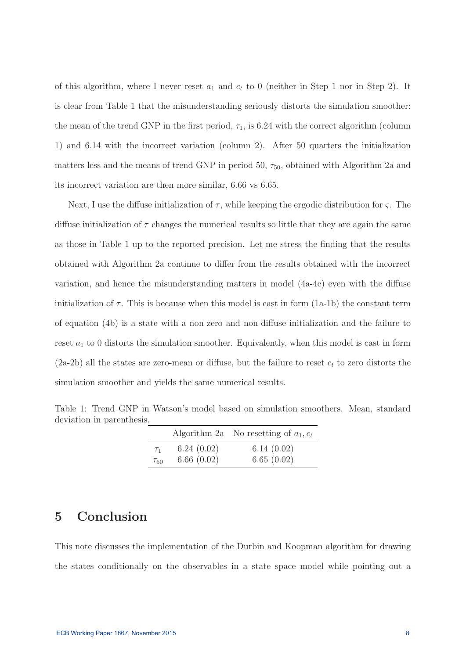of this algorithm, where I never reset  $a_1$  and  $c_t$  to 0 (neither in Step 1 nor in Step 2). It is clear from Table 1 that the misunderstanding seriously distorts the simulation smoother: the mean of the trend GNP in the first period,  $\tau_1$ , is 6.24 with the correct algorithm (column 1) and 6.14 with the incorrect variation (column 2). After 50 quarters the initialization matters less and the means of trend GNP in period 50,  $\tau_{50}$ , obtained with Algorithm 2a and its incorrect variation are then more similar, 6.66 vs 6.65.

Next, I use the diffuse initialization of  $\tau$ , while keeping the ergodic distribution for  $\zeta$ . The diffuse initialization of  $\tau$  changes the numerical results so little that they are again the same as those in Table 1 up to the reported precision. Let me stress the finding that the results obtained with Algorithm 2a continue to differ from the results obtained with the incorrect variation, and hence the misunderstanding matters in model (4a-4c) even with the diffuse initialization of  $\tau$ . This is because when this model is cast in form (1a-1b) the constant term of equation (4b) is a state with a non-zero and non-diffuse initialization and the failure to reset  $a_1$  to 0 distorts the simulation smoother. Equivalently, when this model is cast in form  $(2a-2b)$  all the states are zero-mean or diffuse, but the failure to reset  $c_t$  to zero distorts the simulation smoother and yields the same numerical results.

|             |            | Algorithm 2a No resetting of $a_1, c_t$ |
|-------------|------------|-----------------------------------------|
| $\tau_1$    | 6.24(0.02) | 6.14(0.02)                              |
| $\tau_{50}$ | 6.66(0.02) | 6.65(0.02)                              |

Table 1: Trend GNP in Watson's model based on simulation smoothers. Mean, standard deviation in parenthesis.

## **5 Conclusion**

This note discusses the implementation of the Durbin and Koopman algorithm for drawing the states conditionally on the observables in a state space model while pointing out a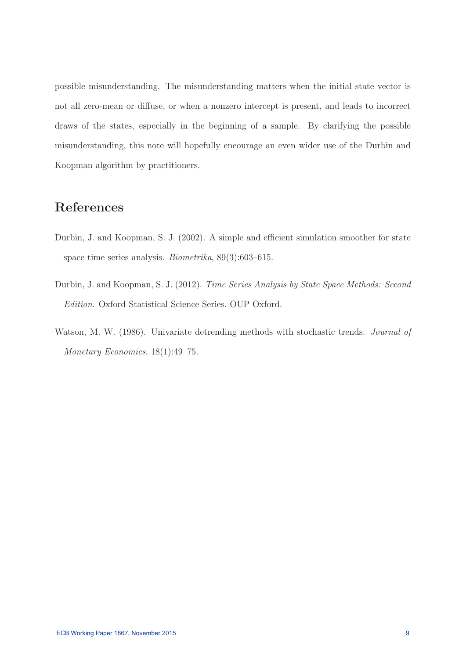possible misunderstanding. The misunderstanding matters when the initial state vector is not all zero-mean or diffuse, or when a nonzero intercept is present, and leads to incorrect draws of the states, especially in the beginning of a sample. By clarifying the possible misunderstanding, this note will hopefully encourage an even wider use of the Durbin and Koopman algorithm by practitioners.

# **References**

- Durbin, J. and Koopman, S. J. (2002). A simple and efficient simulation smoother for state space time series analysis. Biometrika, 89(3):603–615.
- Durbin, J. and Koopman, S. J. (2012). Time Series Analysis by State Space Methods: Second Edition. Oxford Statistical Science Series. OUP Oxford.
- Watson, M. W. (1986). Univariate detrending methods with stochastic trends. *Journal of* Monetary Economics, 18(1):49–75.